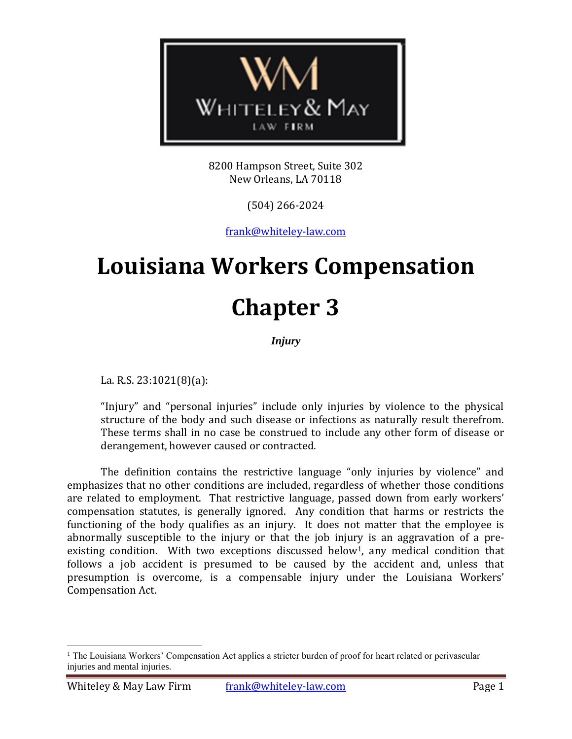

8200 Hampson Street, Suite 302 New Orleans, LA 70118

(504) 266-2024

[frank@whiteley-law.com](mailto:fwhiteley@whiteley-law.com)

# **Louisiana Workers Compensation Chapter 3**

*Injury*

La. R.S. 23:1021(8)(a):

 $\overline{a}$ 

"Injury" and "personal injuries" include only injuries by violence to the physical structure of the body and such disease or infections as naturally result therefrom. These terms shall in no case be construed to include any other form of disease or derangement, however caused or contracted.

The definition contains the restrictive language "only injuries by violence" and emphasizes that no other conditions are included, regardless of whether those conditions are related to employment. That restrictive language, passed down from early workers' compensation statutes, is generally ignored. Any condition that harms or restricts the functioning of the body qualifies as an injury. It does not matter that the employee is abnormally susceptible to the injury or that the job injury is an aggravation of a preexisting condition. With two exceptions discussed below<sup>1</sup>, any medical condition that follows a job accident is presumed to be caused by the accident and, unless that presumption is overcome, is a compensable injury under the Louisiana Workers' Compensation Act.

<sup>&</sup>lt;sup>1</sup> The Louisiana Workers' Compensation Act applies a stricter burden of proof for heart related or perivascular injuries and mental injuries.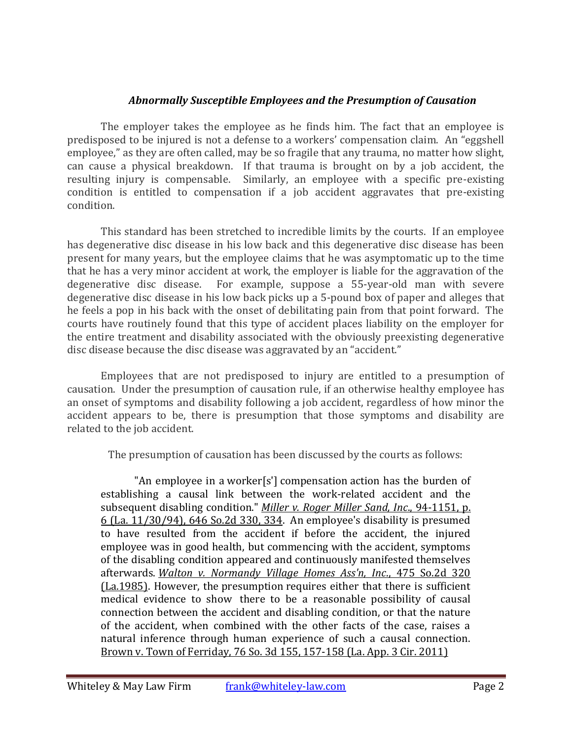# *Abnormally Susceptible Employees and the Presumption of Causation*

The employer takes the employee as he finds him. The fact that an employee is predisposed to be injured is not a defense to a workers' compensation claim. An "eggshell employee," as they are often called, may be so fragile that any trauma, no matter how slight, can cause a physical breakdown. If that trauma is brought on by a job accident, the resulting injury is compensable. Similarly, an employee with a specific pre-existing condition is entitled to compensation if a job accident aggravates that pre-existing condition.

This standard has been stretched to incredible limits by the courts. If an employee has degenerative disc disease in his low back and this degenerative disc disease has been present for many years, but the employee claims that he was asymptomatic up to the time that he has a very minor accident at work, the employer is liable for the aggravation of the degenerative disc disease. For example, suppose a 55-year-old man with severe degenerative disc disease in his low back picks up a 5-pound box of paper and alleges that he feels a pop in his back with the onset of debilitating pain from that point forward. The courts have routinely found that this type of accident places liability on the employer for the entire treatment and disability associated with the obviously preexisting degenerative disc disease because the disc disease was aggravated by an "accident."

Employees that are not predisposed to injury are entitled to a presumption of causation. Under the presumption of causation rule, if an otherwise healthy employee has an onset of symptoms and disability following a job accident, regardless of how minor the accident appears to be, there is presumption that those symptoms and disability are related to the job accident.

The presumption of causation has been discussed by the courts as follows:

"An employee in a worker[s'] compensation action has the burden of establishing a causal link between the work-related accident and the subsequent disabling condition." *[Miller v. Roger Miller Sand, Inc](https://www.lexis.com/research/buttonTFLink?_m=7c7422fa7a22437ac3e0287e9598f7e8&_xfercite=%3ccite%20cc%3d%22USA%22%3e%3c%21%5bCDATA%5b76%20So.%203d%20155%5d%5d%3e%3c%2fcite%3e&_butType=3&_butStat=2&_butNum=12&_butInline=1&_butinfo=%3ccite%20cc%3d%22USA%22%3e%3c%21%5bCDATA%5b646%20So.%202d%20330%2c%20334%5d%5d%3e%3c%2fcite%3e&_fmtstr=FULL&docnum=1&_startdoc=1&wchp=dGLzVzt-zSkAb&_md5=4ddbe5160257a97b3bd27760f15b81d8)*., 94-1151, p. [6 \(La. 11/30/94\), 646 So.2d 330, 334.](https://www.lexis.com/research/buttonTFLink?_m=7c7422fa7a22437ac3e0287e9598f7e8&_xfercite=%3ccite%20cc%3d%22USA%22%3e%3c%21%5bCDATA%5b76%20So.%203d%20155%5d%5d%3e%3c%2fcite%3e&_butType=3&_butStat=2&_butNum=12&_butInline=1&_butinfo=%3ccite%20cc%3d%22USA%22%3e%3c%21%5bCDATA%5b646%20So.%202d%20330%2c%20334%5d%5d%3e%3c%2fcite%3e&_fmtstr=FULL&docnum=1&_startdoc=1&wchp=dGLzVzt-zSkAb&_md5=4ddbe5160257a97b3bd27760f15b81d8) An employee's disability is presumed to have resulted from the accident if before the accident, the injured employee was in good health, but commencing with the accident, symptoms of the disabling condition appeared and continuously manifested themselves afterwards. *[Walton v. Normandy Village Homes Ass'n, Inc](https://www.lexis.com/research/buttonTFLink?_m=7c7422fa7a22437ac3e0287e9598f7e8&_xfercite=%3ccite%20cc%3d%22USA%22%3e%3c%21%5bCDATA%5b76%20So.%203d%20155%5d%5d%3e%3c%2fcite%3e&_butType=3&_butStat=2&_butNum=14&_butInline=1&_butinfo=%3ccite%20cc%3d%22USA%22%3e%3c%21%5bCDATA%5b475%20So.%202d%20320%5d%5d%3e%3c%2fcite%3e&_fmtstr=FULL&docnum=1&_startdoc=1&wchp=dGLzVzt-zSkAb&_md5=81be8c8496c03005e0303fee6e23c619)*., 475 So.2d 320 [\(La.1985\).](https://www.lexis.com/research/buttonTFLink?_m=7c7422fa7a22437ac3e0287e9598f7e8&_xfercite=%3ccite%20cc%3d%22USA%22%3e%3c%21%5bCDATA%5b76%20So.%203d%20155%5d%5d%3e%3c%2fcite%3e&_butType=3&_butStat=2&_butNum=14&_butInline=1&_butinfo=%3ccite%20cc%3d%22USA%22%3e%3c%21%5bCDATA%5b475%20So.%202d%20320%5d%5d%3e%3c%2fcite%3e&_fmtstr=FULL&docnum=1&_startdoc=1&wchp=dGLzVzt-zSkAb&_md5=81be8c8496c03005e0303fee6e23c619) However, the presumption requires either that there is sufficient medical evidence to show there to be a reasonable possibility of causal connection between the accident and disabling condition, or that the nature of the accident, when combined with the other facts of the case, raises a natural inference through human experience of such a causal connection. [Brown v. Town of Ferriday, 76 So. 3d 155, 157-158 \(La.](http://www.lexis.com/research/xlink?app=00075&view=full&searchtype=get&search=76+So.+3d+155%2520at%2520157) App. 3 Cir. 2011)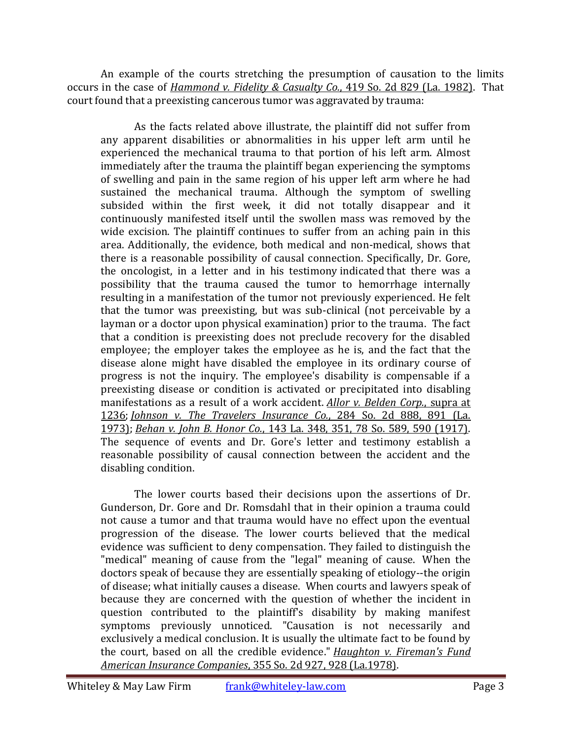An example of the courts stretching the presumption of causation to the limits occurs in the case of *[Hammond v. Fidelity & Casualty Co.](http://www.lexis.com/research/xlink?app=00075&view=full&searchtype=le&search=419+So.+2d+829)*, 419 So. 2d 829 (La. 1982). That court found that a preexisting cancerous tumor was aggravated by trauma:

As the facts related above illustrate, the plaintiff did not suffer from any apparent disabilities or abnormalities in his upper left arm until he experienced the mechanical trauma to that portion of his left arm. Almost immediately after the trauma the plaintiff began experiencing the symptoms of swelling and pain in the same region of his upper left arm where he had sustained the mechanical trauma. Although the symptom of swelling subsided within the first week, it did not totally disappear and it continuously manifested itself until the swollen mass was removed by the wide excision. The plaintiff continues to suffer from an aching pain in this area. Additionally, the evidence, both medical and non-medical, shows that there is a reasonable possibility of causal connection. Specifically, Dr. Gore, the oncologist, in a letter and in his testimony indicated that there was a possibility that the trauma caused the tumor to hemorrhage internally resulting in a manifestation of the tumor not previously experienced. He felt that the tumor was preexisting, but was sub-clinical (not perceivable by a layman or a doctor upon physical examination) prior to the trauma. The fact that a condition is preexisting does not preclude recovery for the disabled employee; the employer takes the employee as he is, and the fact that the disease alone might have disabled the employee in its ordinary course of progress is not the inquiry. The employee's disability is compensable if a preexisting disease or condition is activated or precipitated into disabling manifestations as a result of a work accident. *[Allor v. Belden Corp.](https://www.lexis.com/research/buttonTFLink?_m=5afc6c579a16aaf94b65aefd1e1a9eb8&_xfercite=%3ccite%20cc%3d%22USA%22%3e%3c%21%5bCDATA%5b419%20So.%202d%20829%5d%5d%3e%3c%2fcite%3e&_butType=3&_butStat=2&_butNum=23&_butInline=1&_butinfo=%3ccite%20cc%3d%22USA%22%3e%3c%21%5bCDATA%5b393%20So.%202d%201233%2c%201236%5d%5d%3e%3c%2fcite%3e&_fmtstr=FULL&docnum=1&_startdoc=1&wchp=dGLzVzt-zSkAb&_md5=fafa9fd80be077732eb02c761cd92ec6)*, supra at [1236;](https://www.lexis.com/research/buttonTFLink?_m=5afc6c579a16aaf94b65aefd1e1a9eb8&_xfercite=%3ccite%20cc%3d%22USA%22%3e%3c%21%5bCDATA%5b419%20So.%202d%20829%5d%5d%3e%3c%2fcite%3e&_butType=3&_butStat=2&_butNum=23&_butInline=1&_butinfo=%3ccite%20cc%3d%22USA%22%3e%3c%21%5bCDATA%5b393%20So.%202d%201233%2c%201236%5d%5d%3e%3c%2fcite%3e&_fmtstr=FULL&docnum=1&_startdoc=1&wchp=dGLzVzt-zSkAb&_md5=fafa9fd80be077732eb02c761cd92ec6) *[Johnson v. The Travelers Insurance Co.](https://www.lexis.com/research/buttonTFLink?_m=5afc6c579a16aaf94b65aefd1e1a9eb8&_xfercite=%3ccite%20cc%3d%22USA%22%3e%3c%21%5bCDATA%5b419%20So.%202d%20829%5d%5d%3e%3c%2fcite%3e&_butType=3&_butStat=2&_butNum=24&_butInline=1&_butinfo=%3ccite%20cc%3d%22USA%22%3e%3c%21%5bCDATA%5b284%20So.%202d%20888%2c%20891%5d%5d%3e%3c%2fcite%3e&_fmtstr=FULL&docnum=1&_startdoc=1&wchp=dGLzVzt-zSkAb&_md5=33941b523e52cc66d16ae7d942fa605d)*, 284 So. 2d 888, 891 (La. [1973\);](https://www.lexis.com/research/buttonTFLink?_m=5afc6c579a16aaf94b65aefd1e1a9eb8&_xfercite=%3ccite%20cc%3d%22USA%22%3e%3c%21%5bCDATA%5b419%20So.%202d%20829%5d%5d%3e%3c%2fcite%3e&_butType=3&_butStat=2&_butNum=24&_butInline=1&_butinfo=%3ccite%20cc%3d%22USA%22%3e%3c%21%5bCDATA%5b284%20So.%202d%20888%2c%20891%5d%5d%3e%3c%2fcite%3e&_fmtstr=FULL&docnum=1&_startdoc=1&wchp=dGLzVzt-zSkAb&_md5=33941b523e52cc66d16ae7d942fa605d) *Behan v. John B. Honor Co.*[, 143 La. 348, 351, 78 So. 589, 590 \(1917\).](https://www.lexis.com/research/buttonTFLink?_m=5afc6c579a16aaf94b65aefd1e1a9eb8&_xfercite=%3ccite%20cc%3d%22USA%22%3e%3c%21%5bCDATA%5b419%20So.%202d%20829%5d%5d%3e%3c%2fcite%3e&_butType=3&_butStat=2&_butNum=25&_butInline=1&_butinfo=%3ccite%20cc%3d%22USA%22%3e%3c%21%5bCDATA%5b143%20La.%20348%2c%20351%5d%5d%3e%3c%2fcite%3e&_fmtstr=FULL&docnum=1&_startdoc=1&wchp=dGLzVzt-zSkAb&_md5=cc27094f9ad0f97f9c4fff920c882ab1) The sequence of events and Dr. Gore's letter and testimony establish a reasonable possibility of causal connection between the accident and the disabling condition.

The lower courts based their decisions upon the assertions of Dr. Gunderson, Dr. Gore and Dr. Romsdahl that in their opinion a trauma could not cause a tumor and that trauma would have no effect upon the eventual progression of the disease. The lower courts believed that the medical evidence was sufficient to deny compensation. They failed to distinguish the "medical" meaning of cause from the "legal" meaning of cause. When the doctors speak of because they are essentially speaking of etiology--the origin of disease; what initially causes a disease. When courts and lawyers speak of because they are concerned with the question of whether the incident in question contributed to the plaintiff's disability by making manifest symptoms previously unnoticed. "Causation is not necessarily and exclusively a medical conclusion. It is usually the ultimate fact to be found by the court, based on all the credible evidence." *[Haughton v. Fireman's Fund](https://www.lexis.com/research/buttonTFLink?_m=5afc6c579a16aaf94b65aefd1e1a9eb8&_xfercite=%3ccite%20cc%3d%22USA%22%3e%3c%21%5bCDATA%5b419%20So.%202d%20829%5d%5d%3e%3c%2fcite%3e&_butType=3&_butStat=2&_butNum=27&_butInline=1&_butinfo=%3ccite%20cc%3d%22USA%22%3e%3c%21%5bCDATA%5b355%20So.%202d%20927%2c%20928%5d%5d%3e%3c%2fcite%3e&_fmtstr=FULL&docnum=1&_startdoc=1&wchp=dGLzVzt-zSkAb&_md5=4b1cd5a781348eeaf0930a9824e062ee)  American Insurance Companies*[, 355 So. 2d 927, 928 \(La.1978\).](https://www.lexis.com/research/buttonTFLink?_m=5afc6c579a16aaf94b65aefd1e1a9eb8&_xfercite=%3ccite%20cc%3d%22USA%22%3e%3c%21%5bCDATA%5b419%20So.%202d%20829%5d%5d%3e%3c%2fcite%3e&_butType=3&_butStat=2&_butNum=27&_butInline=1&_butinfo=%3ccite%20cc%3d%22USA%22%3e%3c%21%5bCDATA%5b355%20So.%202d%20927%2c%20928%5d%5d%3e%3c%2fcite%3e&_fmtstr=FULL&docnum=1&_startdoc=1&wchp=dGLzVzt-zSkAb&_md5=4b1cd5a781348eeaf0930a9824e062ee)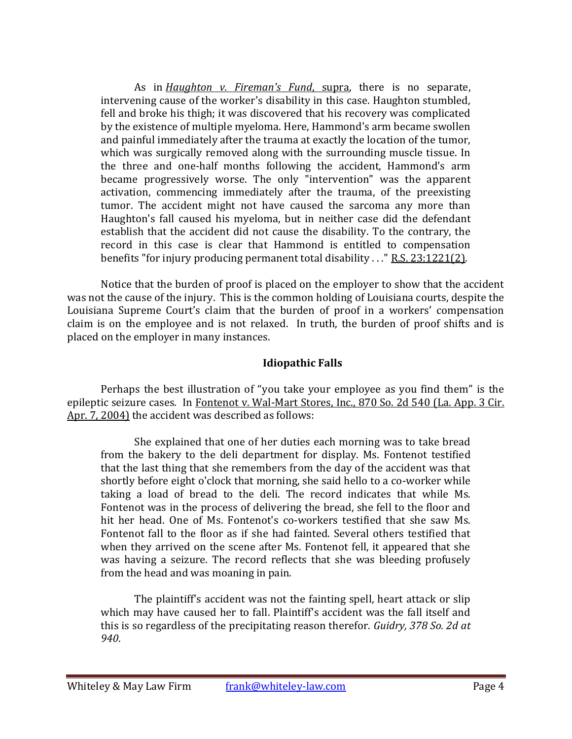As in *[Haughton v. Fireman's Fund](https://www.lexis.com/research/buttonTFLink?_m=5afc6c579a16aaf94b65aefd1e1a9eb8&_xfercite=%3ccite%20cc%3d%22USA%22%3e%3c%21%5bCDATA%5b419%20So.%202d%20829%5d%5d%3e%3c%2fcite%3e&_butType=3&_butStat=2&_butNum=33&_butInline=1&_butinfo=%3ccite%20cc%3d%22USA%22%3e%3c%21%5bCDATA%5b355%20So.%202d%20927%5d%5d%3e%3c%2fcite%3e&_fmtstr=FULL&docnum=1&_startdoc=1&wchp=dGLzVzt-zSkAb&_md5=d878bc16045563024b691e475eb63dd9)*, supra, there is no separate, intervening cause of the worker's disability in this case. Haughton stumbled, fell and broke his thigh; it was discovered that his recovery was complicated by the existence of multiple myeloma. Here, Hammond's arm became swollen and painful immediately after the trauma at exactly the location of the tumor, which was surgically removed along with the surrounding muscle tissue. In the three and one-half months following the accident, Hammond's arm became progressively worse. The only "intervention" was the apparent activation, commencing immediately after the trauma, of the preexisting tumor. The accident might not have caused the sarcoma any more than Haughton's fall caused his myeloma, but in neither case did the defendant establish that the accident did not cause the disability. To the contrary, the record in this case is clear that Hammond is entitled to compensation benefits "for injury producing permanent total disability . . ." [R.S. 23:1221\(2\).](https://www.lexis.com/research/buttonTFLink?_m=5afc6c579a16aaf94b65aefd1e1a9eb8&_xfercite=%3ccite%20cc%3d%22USA%22%3e%3c%21%5bCDATA%5b419%20So.%202d%20829%5d%5d%3e%3c%2fcite%3e&_butType=4&_butStat=0&_butNum=34&_butInline=1&_butinfo=LA.%20R.S.%2023%3a1221&_fmtstr=FULL&docnum=1&_startdoc=1&wchp=dGLzVzt-zSkAb&_md5=368491920e45ff1d91080f81b4f0bf10)

Notice that the burden of proof is placed on the employer to show that the accident was not the cause of the injury. This is the common holding of Louisiana courts, despite the Louisiana Supreme Court's claim that the burden of proof in a workers' compensation claim is on the employee and is not relaxed. In truth, the burden of proof shifts and is placed on the employer in many instances.

# **Idiopathic Falls**

Perhaps the best illustration of "you take your employee as you find them" is the epileptic seizure cases. In [Fontenot v. Wal-Mart Stores, Inc., 870 So. 2d 540 \(La.](http://www.lexis.com/research/xlink?app=00075&view=full&searchtype=get&search=870+So.+2d+540) App. 3 Cir. [Apr. 7, 2004\)](http://www.lexis.com/research/xlink?app=00075&view=full&searchtype=get&search=870+So.+2d+540) the accident was described as follows:

She explained that one of her duties each morning was to take bread from the bakery to the deli department for display. Ms. Fontenot testified that the last thing that she remembers from the day of the accident was that shortly before eight o'clock that morning, she said hello to a co-worker while taking a load of bread to the deli. The record indicates that while Ms. Fontenot was in the process of delivering the bread, she fell to the floor and hit her head. One of Ms. Fontenot's co-workers testified that she saw Ms. Fontenot fall to the floor as if she had fainted. Several others testified that when they arrived on the scene after Ms. Fontenot fell, it appeared that she was having a seizure. The record reflects that she was bleeding profusely from the head and was moaning in pain.

The plaintiff's accident was not the fainting spell, heart attack or slip which may have caused her to fall. Plaintiff's accident was the fall itself and this is so regardless of the precipitating reason therefor. *Guidry, 378 So. 2d at 940*.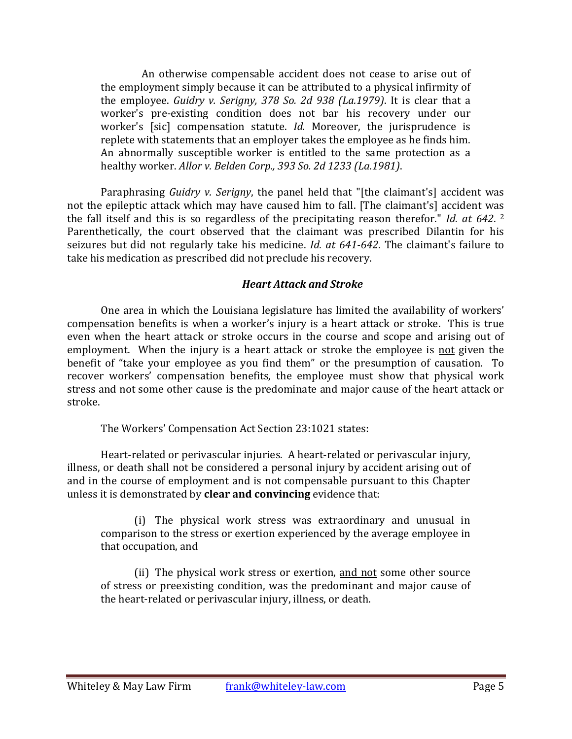An otherwise compensable accident does not cease to arise out of the employment simply because it can be attributed to a physical infirmity of the employee. *Guidry v. Serigny, 378 So. 2d 938 (La.1979)*. It is clear that a worker's pre-existing condition does not bar his recovery under our worker's [sic] compensation statute. *Id.* Moreover, the jurisprudence is replete with statements that an employer takes the employee as he finds him. An abnormally susceptible worker is entitled to the same protection as a healthy worker. *Allor v. Belden Corp., 393 So. 2d 1233 (La.1981)*.

Paraphrasing *Guidry v. Serigny*, the panel held that "[the claimant's] accident was not the epileptic attack which may have caused him to fall. [The claimant's] accident was the fall itself and this is so regardless of the precipitating reason therefor." *Id. at 642*. 2 Parenthetically, the court observed that the claimant was prescribed Dilantin for his seizures but did not regularly take his medicine. *Id. at 641-642*. The claimant's failure to take his medication as prescribed did not preclude his recovery.

#### *Heart Attack and Stroke*

One area in which the Louisiana legislature has limited the availability of workers' compensation benefits is when a worker's injury is a heart attack or stroke. This is true even when the heart attack or stroke occurs in the course and scope and arising out of employment. When the injury is a heart attack or stroke the employee is not given the benefit of "take your employee as you find them" or the presumption of causation. To recover workers' compensation benefits, the employee must show that physical work stress and not some other cause is the predominate and major cause of the heart attack or stroke.

The Workers' Compensation Act Section 23:1021 states:

Heart-related or perivascular injuries. A heart-related or perivascular injury, illness, or death shall not be considered a personal injury by accident arising out of and in the course of employment and is not compensable pursuant to this Chapter unless it is demonstrated by **clear and convincing** evidence that:

(i) The physical work stress was extraordinary and unusual in comparison to the stress or exertion experienced by the average employee in that occupation, and

(ii) The physical work stress or exertion, and not some other source of stress or preexisting condition, was the predominant and major cause of the heart-related or perivascular injury, illness, or death.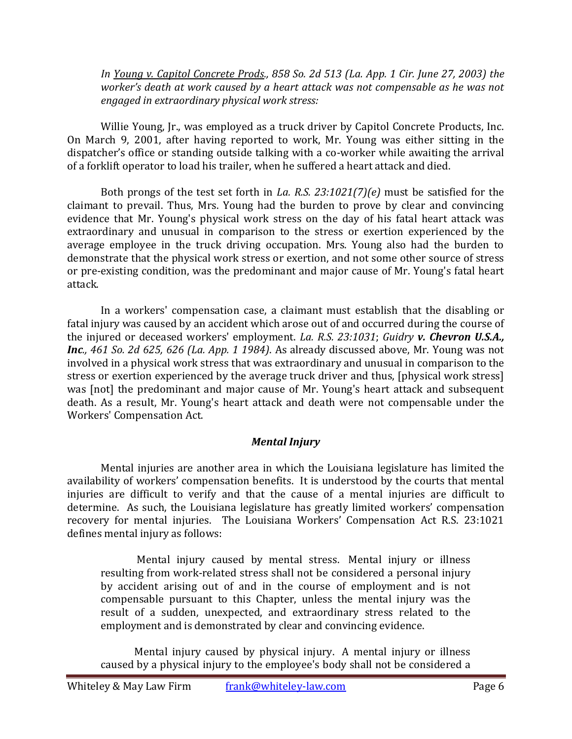*In [Young v. Capitol Concrete Prods., 858 So. 2d 513 \(La.](http://www.lexis.com/research/xlink?app=00075&view=full&searchtype=get&search=858+So.+2d+513) App. 1 Cir. June 27, 2003) the worker's death at work caused by a heart attack was not compensable as he was not engaged in extraordinary physical work stress:*

Willie Young, Jr., was employed as a truck driver by Capitol Concrete Products, Inc. On March 9, 2001, after having reported to work, Mr. Young was either sitting in the dispatcher's office or standing outside talking with a co-worker while awaiting the arrival of a forklift operator to load his trailer, when he suffered a heart attack and died.

Both prongs of the test set forth in *La. R.S. 23:1021(7)(e)* must be satisfied for the claimant to prevail. Thus, Mrs. Young had the burden to prove by clear and convincing evidence that Mr. Young's physical work stress on the day of his fatal heart attack was extraordinary and unusual in comparison to the stress or exertion experienced by the average employee in the truck driving occupation. Mrs. Young also had the burden to demonstrate that the physical work stress or exertion, and not some other source of stress or pre-existing condition, was the predominant and major cause of Mr. Young's fatal heart attack.

In a workers' compensation case, a claimant must establish that the disabling or fatal injury was caused by an accident which arose out of and occurred during the course of the injured or deceased workers' employment. *La. R.S. 23:1031*; *Guidry v. Chevron U.S.A., Inc., 461 So. 2d 625, 626 (La. App. 1 1984)*. As already discussed above, Mr. Young was not involved in a physical work stress that was extraordinary and unusual in comparison to the stress or exertion experienced by the average truck driver and thus, [physical work stress] was [not] the predominant and major cause of Mr. Young's heart attack and subsequent death. As a result, Mr. Young's heart attack and death were not compensable under the Workers' Compensation Act.

# *Mental Injury*

Mental injuries are another area in which the Louisiana legislature has limited the availability of workers' compensation benefits. It is understood by the courts that mental injuries are difficult to verify and that the cause of a mental injuries are difficult to determine. As such, the Louisiana legislature has greatly limited workers' compensation recovery for mental injuries. The Louisiana Workers' Compensation Act R.S. 23:1021 defines mental injury as follows:

Mental injury caused by mental stress. Mental injury or illness resulting from work-related stress shall not be considered a personal injury by accident arising out of and in the course of employment and is not compensable pursuant to this Chapter, unless the mental injury was the result of a sudden, unexpected, and extraordinary stress related to the employment and is demonstrated by clear and convincing evidence.

Mental injury caused by physical injury. A mental injury or illness caused by a physical injury to the employee's body shall not be considered a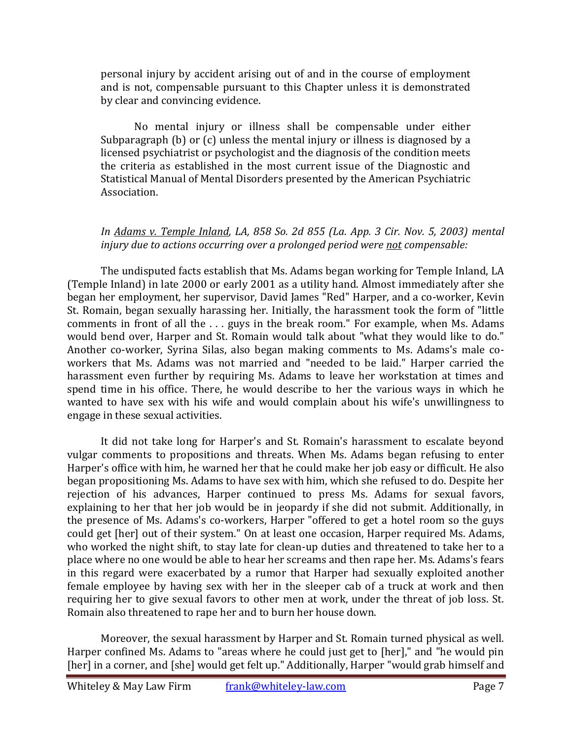personal injury by accident arising out of and in the course of employment and is not, compensable pursuant to this Chapter unless it is demonstrated by clear and convincing evidence.

No mental injury or illness shall be compensable under either Subparagraph (b) or (c) unless the mental injury or illness is diagnosed by a licensed psychiatrist or psychologist and the diagnosis of the condition meets the criteria as established in the most current issue of the Diagnostic and Statistical Manual of Mental Disorders presented by the American Psychiatric Association.

# *In [Adams v. Temple Inland, LA, 858 So. 2d 855 \(La.](http://www.lexis.com/research/xlink?app=00075&view=full&searchtype=get&search=858+So.+2d+855) App. 3 Cir. Nov. 5, 2003) mental injury due to actions occurring over a prolonged period were not compensable:*

The undisputed facts establish that Ms. Adams began working for Temple Inland, LA (Temple Inland) in late 2000 or early 2001 as a utility hand. Almost immediately after she began her employment, her supervisor, David James "Red" Harper, and a co-worker, Kevin St. Romain, began sexually harassing her. Initially, the harassment took the form of "little comments in front of all the . . . guys in the break room." For example, when Ms. Adams would bend over, Harper and St. Romain would talk about "what they would like to do." Another co-worker, Syrina Silas, also began making comments to Ms. Adams's male coworkers that Ms. Adams was not married and "needed to be laid." Harper carried the harassment even further by requiring Ms. Adams to leave her workstation at times and spend time in his office. There, he would describe to her the various ways in which he wanted to have sex with his wife and would complain about his wife's unwillingness to engage in these sexual activities.

It did not take long for Harper's and St. Romain's harassment to escalate beyond vulgar comments to propositions and threats. When Ms. Adams began refusing to enter Harper's office with him, he warned her that he could make her job easy or difficult. He also began propositioning Ms. Adams to have sex with him, which she refused to do. Despite her rejection of his advances, Harper continued to press Ms. Adams for sexual favors, explaining to her that her job would be in jeopardy if she did not submit. Additionally, in the presence of Ms. Adams's co-workers, Harper "offered to get a hotel room so the guys could get [her] out of their system." On at least one occasion, Harper required Ms. Adams, who worked the night shift, to stay late for clean-up duties and threatened to take her to a place where no one would be able to hear her screams and then rape her. Ms. Adams's fears in this regard were exacerbated by a rumor that Harper had sexually exploited another female employee by having sex with her in the sleeper cab of a truck at work and then requiring her to give sexual favors to other men at work, under the threat of job loss. St. Romain also threatened to rape her and to burn her house down.

Moreover, the sexual harassment by Harper and St. Romain turned physical as well. Harper confined Ms. Adams to "areas where he could just get to [her]," and "he would pin [her] in a corner, and [she] would get felt up." Additionally, Harper "would grab himself and